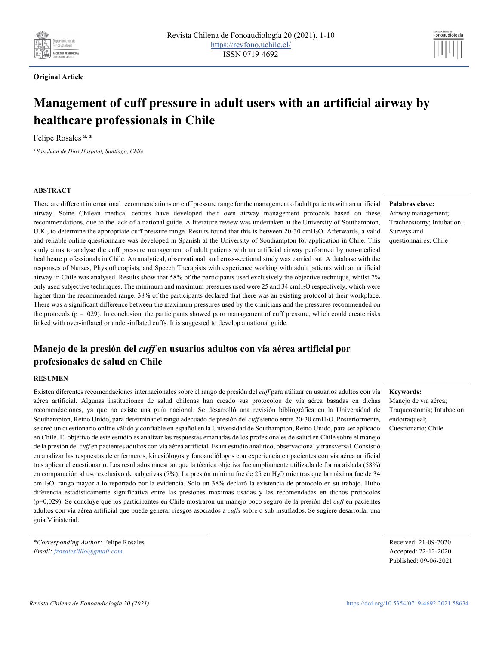

# **Original Article**

# **Management of cuff pressure in adult users with an artificial airway by healthcare professionals in Chile**

Felipe Rosales **a,** \*

**<sup>a</sup>***San Juan de Dios Hospital, Santiago, Chile*

#### **ABSTRACT**

There are different international recommendations on cuff pressure range for the management of adult patients with an artificial airway. Some Chilean medical centres have developed their own airway management protocols based on these recommendations, due to the lack of a national guide. A literature review was undertaken at the University of Southampton, U.K., to determine the appropriate cuff pressure range. Results found that this is between 20-30 cmH2O. Afterwards, a valid and reliable online questionnaire was developed in Spanish at the University of Southampton for application in Chile. This study aims to analyse the cuff pressure management of adult patients with an artificial airway performed by non-medical healthcare professionals in Chile. An analytical, observational, and cross-sectional study was carried out. A database with the responses of Nurses, Physiotherapists, and Speech Therapists with experience working with adult patients with an artificial airway in Chile was analysed. Results show that 58% of the participants used exclusively the objective technique, whilst 7% only used subjective techniques. The minimum and maximum pressures used were 25 and 34 cmH2O respectively, which were higher than the recommended range. 38% of the participants declared that there was an existing protocol at their workplace. There was a significant difference between the maximum pressures used by the clinicians and the pressures recommended on the protocols  $(p = .029)$ . In conclusion, the participants showed poor management of cuff pressure, which could create risks linked with over-inflated or under-inflated cuffs. It is suggested to develop a national guide.

# **Manejo de la presión del** *cuff* **en usuarios adultos con vía aérea artificial por profesionales de salud en Chile**

#### **RESUMEN**

Existen diferentes recomendaciones internacionales sobre el rango de presión del *cuff* para utilizar en usuarios adultos con vía aérea artificial. Algunas instituciones de salud chilenas han creado sus protocolos de vía aérea basadas en dichas recomendaciones, ya que no existe una guía nacional. Se desarrolló una revisión bibliográfica en la Universidad de Southampton, Reino Unido, para determinar el rango adecuado de presión del *cuff* siendo entre 20-30 cmH2O. Posteriormente, se creó un cuestionario online válido y confiable en español en la Universidad de Southampton, Reino Unido, para ser aplicado en Chile. El objetivo de este estudio es analizar las respuestas emanadas de los profesionales de salud en Chile sobre el manejo de la presión del *cuff* en pacientes adultos con vía aérea artificial. Es un estudio analítico, observacional y transversal. Consistió en analizar las respuestas de enfermeros, kinesiólogos y fonoaudiólogos con experiencia en pacientes con vía aérea artificial tras aplicar el cuestionario. Los resultados muestran que la técnica objetiva fue ampliamente utilizada de forma aislada (58%) en comparación al uso exclusivo de subjetivas (7%). La presión mínima fue de 25 cmH<sub>2</sub>O mientras que la máxima fue de 34 cmH2O, rango mayor a lo reportado por la evidencia. Solo un 38% declaró la existencia de protocolo en su trabajo. Hubo diferencia estadísticamente significativa entre las presiones máximas usadas y las recomendadas en dichos protocolos (p=0,029). Se concluye que los participantes en Chile mostraron un manejo poco seguro de la presión del *cuff* en pacientes adultos con vía aérea artificial que puede generar riesgos asociados a *cuffs* sobre o sub insuflados. Se sugiere desarrollar una guía Ministerial.

*\*Corresponding Author:* Felipe Rosales *Email: frosaleslillo@gmail.com*

**Palabras clave:** Airway management; Tracheostomy; Intubation; Surveys and questionnaires; Chile

Fonoaudiología

#### **Keywords:**

Manejo de vía aérea; Traqueostomía; Intubación endotraqueal; Cuestionario; Chile

Received: 21-09-2020 Accepted: 22-12-2020 Published: 09-06-2021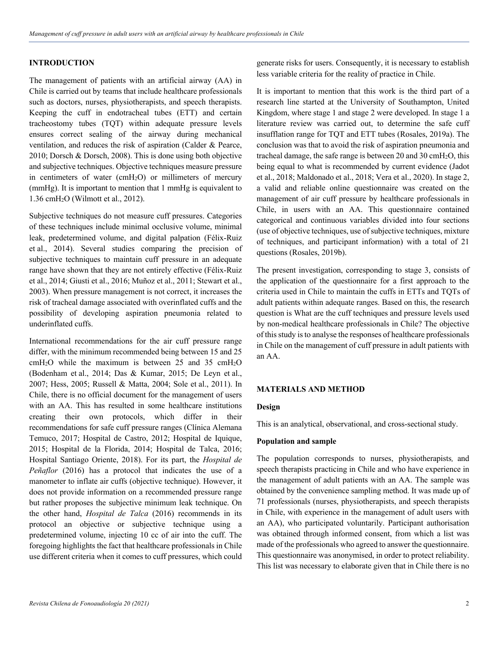# **INTRODUCTION**

The management of patients with an artificial airway (AA) in Chile is carried out by teams that include healthcare professionals such as doctors, nurses, physiotherapists, and speech therapists. Keeping the cuff in endotracheal tubes (ETT) and certain tracheostomy tubes (TQT) within adequate pressure levels ensures correct sealing of the airway during mechanical ventilation, and reduces the risk of aspiration (Calder & Pearce, 2010; Dorsch & Dorsch, 2008). This is done using both objective and subjective techniques. Objective techniques measure pressure in centimeters of water (cmH2O) or millimeters of mercury (mmHg). It is important to mention that 1 mmHg is equivalent to 1.36 cmH2O (Wilmott et al., 2012).

Subjective techniques do not measure cuff pressures. Categories of these techniques include minimal occlusive volume, minimal leak, predetermined volume, and digital palpation (Félix-Ruiz et al., 2014). Several studies comparing the precision of subjective techniques to maintain cuff pressure in an adequate range have shown that they are not entirely effective (Félix-Ruiz et al., 2014; Giusti et al., 2016; Muñoz et al., 2011; Stewart et al., 2003). When pressure management is not correct, it increases the risk of tracheal damage associated with overinflated cuffs and the possibility of developing aspiration pneumonia related to underinflated cuffs.

International recommendations for the air cuff pressure range differ, with the minimum recommended being between 15 and 25 cmH<sub>2</sub>O while the maximum is between 25 and 35 cmH<sub>2</sub>O (Bodenham et al., 2014; Das & Kumar, 2015; De Leyn et al., 2007; Hess, 2005; Russell & Matta, 2004; Sole et al., 2011). In Chile, there is no official document for the management of users with an AA. This has resulted in some healthcare institutions creating their own protocols, which differ in their recommendations for safe cuff pressure ranges (Clínica Alemana Temuco, 2017; Hospital de Castro, 2012; Hospital de Iquique, 2015; Hospital de la Florida, 2014; Hospital de Talca, 2016; Hospital Santiago Oriente, 2018). For its part, the *Hospital de Peñaflor* (2016) has a protocol that indicates the use of a manometer to inflate air cuffs (objective technique). However, it does not provide information on a recommended pressure range but rather proposes the subjective minimum leak technique. On the other hand, *Hospital de Talca* (2016) recommends in its protocol an objective or subjective technique using a predetermined volume, injecting 10 cc of air into the cuff. The foregoing highlights the fact that healthcare professionals in Chile use different criteria when it comes to cuff pressures, which could

generate risks for users. Consequently, it is necessary to establish less variable criteria for the reality of practice in Chile.

It is important to mention that this work is the third part of a research line started at the University of Southampton, United Kingdom, where stage 1 and stage 2 were developed. In stage 1 a literature review was carried out, to determine the safe cuff insufflation range for TQT and ETT tubes (Rosales, 2019a). The conclusion was that to avoid the risk of aspiration pneumonia and tracheal damage, the safe range is between 20 and 30  $\text{cm}H_2\text{O}$ , this being equal to what is recommended by current evidence (Jadot et al., 2018; Maldonado et al., 2018; Vera et al., 2020). In stage 2, a valid and reliable online questionnaire was created on the management of air cuff pressure by healthcare professionals in Chile, in users with an AA. This questionnaire contained categorical and continuous variables divided into four sections (use of objective techniques, use of subjective techniques, mixture of techniques, and participant information) with a total of 21 questions (Rosales, 2019b).

The present investigation, corresponding to stage 3, consists of the application of the questionnaire for a first approach to the criteria used in Chile to maintain the cuffs in ETTs and TQTs of adult patients within adequate ranges. Based on this, the research question is What are the cuff techniques and pressure levels used by non-medical healthcare professionals in Chile? The objective of this study is to analyse the responses of healthcare professionals in Chile on the management of cuff pressure in adult patients with an AA.

# **MATERIALS AND METHOD**

# **Design**

This is an analytical, observational, and cross-sectional study.

#### **Population and sample**

The population corresponds to nurses, physiotherapists, and speech therapists practicing in Chile and who have experience in the management of adult patients with an AA. The sample was obtained by the convenience sampling method. It was made up of 71 professionals (nurses, physiotherapists, and speech therapists in Chile, with experience in the management of adult users with an AA), who participated voluntarily. Participant authorisation was obtained through informed consent, from which a list was made of the professionals who agreed to answer the questionnaire. This questionnaire was anonymised, in order to protect reliability. This list was necessary to elaborate given that in Chile there is no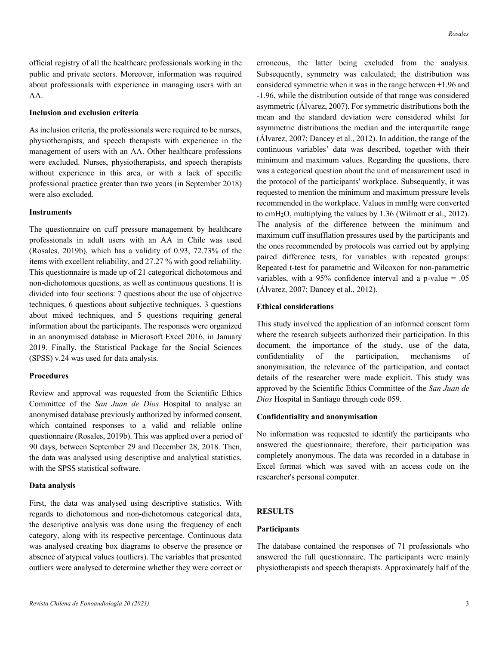official registry of all the healthcare professionals working in the public and private sectors. Moreover, information was required about professionals with experience in managing users with an AA.

# **Inclusion and exclusion criteria**

As inclusion criteria, the professionals were required to be nurses, physiotherapists, and speech therapists with experience in the management of users with an AA. Other healthcare professions were excluded. Nurses, physiotherapists, and speech therapists without experience in this area, or with a lack of specific professional practice greater than two years (in September 2018) were also excluded.

#### **Instruments**

The questionnaire on cuff pressure management by healthcare professionals in adult users with an AA in Chile was used (Rosales, 2019b), which has a validity of 0.93, 72.73% of the items with excellent reliability, and 27.27 % with good reliability. This questionnaire is made up of 21 categorical dichotomous and non-dichotomous questions, as well as continuous questions. It is divided into four sections: 7 questions about the use of objective techniques, 6 questions about subjective techniques, 3 questions about mixed techniques, and 5 questions requiring general information about the participants. The responses were organized in an anonymised database in Microsoft Excel 2016, in January 2019. Finally, the Statistical Package for the Social Sciences (SPSS) v.24 was used for data analysis.

### **Procedures**

Review and approval was requested from the Scientific Ethics Committee of the *San Juan de Dios* Hospital to analyse an anonymised database previously authorized by informed consent, which contained responses to a valid and reliable online questionnaire (Rosales, 2019b). This was applied over a period of 90 days, between September 29 and December 28, 2018. Then, the data was analysed using descriptive and analytical statistics, with the SPSS statistical software.

#### **Data analysis**

First, the data was analysed using descriptive statistics. With regards to dichotomous and non-dichotomous categorical data, the descriptive analysis was done using the frequency of each category, along with its respective percentage. Continuous data was analysed creating box diagrams to observe the presence or absence of atypical values (outliers). The variables that presented outliers were analysed to determine whether they were correct or erroneous, the latter being excluded from the analysis. Subsequently, symmetry was calculated; the distribution was considered symmetric when it was in the range between +1.96 and -1.96, while the distribution outside of that range was considered asymmetric (Álvarez, 2007). For symmetric distributions both the mean and the standard deviation were considered whilst for asymmetric distributions the median and the interquartile range (Álvarez, 2007; Dancey et al., 2012). In addition, the range of the continuous variables' data was described, together with their minimum and maximum values. Regarding the questions, there was a categorical question about the unit of measurement used in the protocol of the participants' workplace. Subsequently, it was requested to mention the minimum and maximum pressure levels recommended in the workplace. Values in mmHg were converted to cmH2O, multiplying the values by 1.36 (Wilmott et al., 2012). The analysis of the difference between the minimum and maximum cuff insufflation pressures used by the participants and the ones recommended by protocols was carried out by applying paired difference tests, for variables with repeated groups: Repeated t-test for parametric and Wilcoxon for non-parametric variables, with a 95% confidence interval and a p-value = .05 (Álvarez, 2007; Dancey et al., 2012).

# **Ethical considerations**

This study involved the application of an informed consent form where the research subjects authorized their participation. In this document, the importance of the study, use of the data, confidentiality of the participation, mechanisms of anonymisation, the relevance of the participation, and contact details of the researcher were made explicit. This study was approved by the Scientific Ethics Committee of the *San Juan de Dios* Hospital in Santiago through code 059.

### **Confidentiality and anonymisation**

No information was requested to identify the participants who answered the questionnaire; therefore, their participation was completely anonymous. The data was recorded in a database in Excel format which was saved with an access code on the researcher's personal computer.

#### **RESULTS**

### **Participants**

The database contained the responses of 71 professionals who answered the full questionnaire. The participants were mainly physiotherapists and speech therapists. Approximately half of the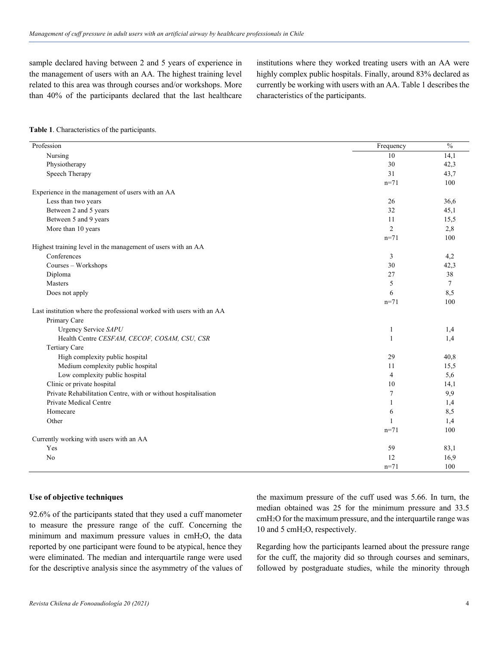sample declared having between 2 and 5 years of experience in the management of users with an AA. The highest training level related to this area was through courses and/or workshops. More than 40% of the participants declared that the last healthcare institutions where they worked treating users with an AA were highly complex public hospitals. Finally, around 83% declared as currently be working with users with an AA. Table 1 describes the characteristics of the participants.

### **Table 1**. Characteristics of the participants.

| Profession                                                           | Frequency      | $\frac{0}{6}$ |
|----------------------------------------------------------------------|----------------|---------------|
| Nursing                                                              | 10             | 14,1          |
| Physiotherapy                                                        | 30             | 42,3          |
| Speech Therapy                                                       | 31             | 43,7          |
|                                                                      | $n = 71$       | 100           |
| Experience in the management of users with an AA                     |                |               |
| Less than two years                                                  | 26             | 36,6          |
| Between 2 and 5 years                                                | 32             | 45,1          |
| Between 5 and 9 years                                                | 11             | 15,5          |
| More than 10 years                                                   | $\overline{c}$ | 2,8           |
|                                                                      | $n = 71$       | 100           |
| Highest training level in the management of users with an AA         |                |               |
| Conferences                                                          | 3              | 4,2           |
| Courses - Workshops                                                  | 30             | 42,3          |
| Diploma                                                              | 27             | 38            |
| Masters                                                              | 5              | $\tau$        |
| Does not apply                                                       | 6              | 8,5           |
|                                                                      | $n=71$         | 100           |
| Last institution where the professional worked with users with an AA |                |               |
| Primary Care                                                         |                |               |
| Urgency Service SAPU                                                 | 1              | 1,4           |
| Health Centre CESFAM, CECOF, COSAM, CSU, CSR                         | 1              | 1,4           |
| <b>Tertiary Care</b>                                                 |                |               |
| High complexity public hospital                                      | 29             | 40,8          |
| Medium complexity public hospital                                    | 11             | 15,5          |
| Low complexity public hospital                                       | 4              | 5,6           |
| Clinic or private hospital                                           | 10             | 14,1          |
| Private Rehabilitation Centre, with or without hospitalisation       | 7              | 9,9           |
| Private Medical Centre                                               | $\mathbf{1}$   | 1,4           |
| Homecare                                                             | 6              | 8,5           |
| Other                                                                | 1              | 1,4           |
|                                                                      | $n = 71$       | 100           |
| Currently working with users with an AA                              |                |               |
| Yes                                                                  | 59             | 83,1          |
| No                                                                   | 12             | 16,9          |
|                                                                      | $n = 71$       | 100           |

# **Use of objective techniques**

92.6% of the participants stated that they used a cuff manometer to measure the pressure range of the cuff. Concerning the minimum and maximum pressure values in cmH2O, the data reported by one participant were found to be atypical, hence they were eliminated. The median and interquartile range were used for the descriptive analysis since the asymmetry of the values of the maximum pressure of the cuff used was 5.66. In turn, the median obtained was 25 for the minimum pressure and 33.5 cmH2O for the maximum pressure, and the interquartile range was 10 and 5 cmH2O, respectively.

Regarding how the participants learned about the pressure range for the cuff, the majority did so through courses and seminars, followed by postgraduate studies, while the minority through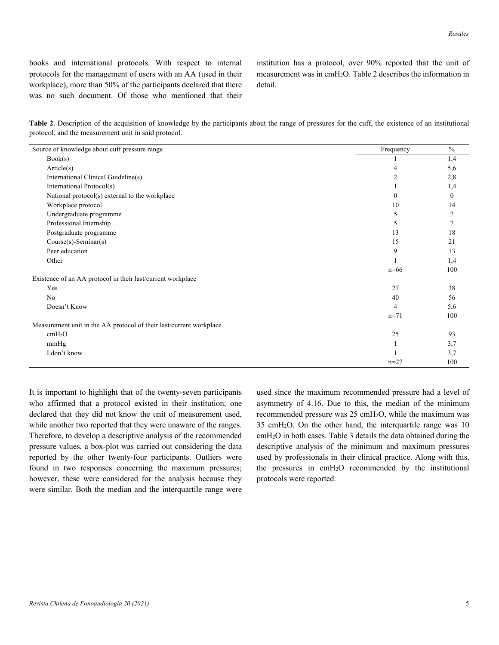books and international protocols. With respect to internal protocols for the management of users with an AA (used in their workplace), more than 50% of the participants declared that there was no such document. Of those who mentioned that their institution has a protocol, over 90% reported that the unit of measurement was in cmH2O. Table 2 describes the information in detail.

| Table 2. Description of the acquisition of knowledge by the participants about the range of pressures for the cuff, the existence of an institutional |  |  |  |  |  |
|-------------------------------------------------------------------------------------------------------------------------------------------------------|--|--|--|--|--|
| protocol, and the measurement unit in said protocol.                                                                                                  |  |  |  |  |  |

| Source of knowledge about cuff pressure range                       | Frequency      | $\frac{0}{0}$ |
|---------------------------------------------------------------------|----------------|---------------|
| Book(s)                                                             |                | 1,4           |
| Article(s)                                                          | 4              | 5,6           |
| International Clinical Guideline(s)                                 | $\overline{c}$ | 2,8           |
| International Protocol(s)                                           |                | 1,4           |
| National protocol(s) external to the workplace                      | $\theta$       | $\theta$      |
| Workplace protocol                                                  | 10             | 14            |
| Undergraduate programme                                             | 5              |               |
| Professional Internship                                             | 5              |               |
| Postgraduate programme                                              | 13             | 18            |
| Course(s)-Seminar(s)                                                | 15             | 21            |
| Peer education                                                      | 9              | 13            |
| Other                                                               |                | 1,4           |
|                                                                     | $n=66$         | 100           |
| Existence of an AA protocol in their last/current workplace         |                |               |
| Yes                                                                 | 27             | 38            |
| No                                                                  | 40             | 56            |
| Doesn't Know                                                        | 4              | 5,6           |
|                                                                     | $n=71$         | 100           |
| Measurement unit in the AA protocol of their last/current workplace |                |               |
| cmH <sub>2</sub> O                                                  | 25             | 93            |
| mmHg                                                                | 1              | 3,7           |
| I don't know                                                        |                | 3,7           |
|                                                                     | $n = 27$       | 100           |

It is important to highlight that of the twenty-seven participants who affirmed that a protocol existed in their institution, one declared that they did not know the unit of measurement used, while another two reported that they were unaware of the ranges. Therefore, to develop a descriptive analysis of the recommended pressure values, a box-plot was carried out considering the data reported by the other twenty-four participants. Outliers were found in two responses concerning the maximum pressures; however, these were considered for the analysis because they were similar. Both the median and the interquartile range were used since the maximum recommended pressure had a level of asymmetry of 4.16. Due to this, the median of the minimum recommended pressure was 25 cmH2O, while the maximum was 35 cmH2O. On the other hand, the interquartile range was 10 cmH2O in both cases. Table 3 details the data obtained during the descriptive analysis of the minimum and maximum pressures used by professionals in their clinical practice. Along with this, the pressures in cmH2O recommended by the institutional protocols were reported.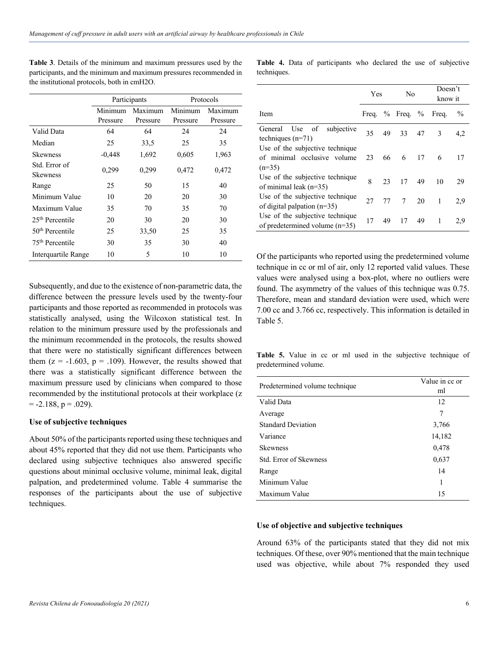|                                  |          | Participants | Protocols |          |  |
|----------------------------------|----------|--------------|-----------|----------|--|
|                                  | Minimum  | Maximum      | Minimum   | Maximum  |  |
|                                  | Pressure | Pressure     | Pressure  | Pressure |  |
| Valid Data                       | 64       | 64           | 24        | 24       |  |
| Median                           | 25       | 33,5         | 25        | 35       |  |
| <b>Skewness</b>                  | $-0,448$ | 1,692        | 0,605     | 1,963    |  |
| Std. Error of<br><b>Skewness</b> | 0,299    | 0,299        | 0,472     | 0,472    |  |
| Range                            | 25       | 50           | 15        | 40       |  |
| Minimum Value                    | 10       | 20           | 20        | 30       |  |
| Maximum Value                    | 35       | 70           | 35        | 70       |  |
| $25th$ Percentile                | 20       | 30           | 20        | 30       |  |
| $50th$ Percentile                | 25       | 33,50        | 25        | 35       |  |
| 75 <sup>th</sup> Percentile      | 30       | 35           | 30        | 40       |  |
| Interquartile Range<br>10        |          | 5            | 10        | 10       |  |

**Table 3**. Details of the minimum and maximum pressures used by the participants, and the minimum and maximum pressures recommended in the institutional protocols, both in cmH2O.

Subsequently, and due to the existence of non-parametric data, the difference between the pressure levels used by the twenty-four participants and those reported as recommended in protocols was statistically analysed, using the Wilcoxon statistical test. In relation to the minimum pressure used by the professionals and the minimum recommended in the protocols, the results showed that there were no statistically significant differences between them  $(z = -1.603, p = .109)$ . However, the results showed that there was a statistically significant difference between the maximum pressure used by clinicians when compared to those recommended by the institutional protocols at their workplace (z  $= -2.188$ ,  $p = .029$ ).

#### **Use of subjective techniques**

About 50% of the participants reported using these techniques and about 45% reported that they did not use them. Participants who declared using subjective techniques also answered specific questions about minimal occlusive volume, minimal leak, digital palpation, and predetermined volume. Table 4 summarise the responses of the participants about the use of subjective techniques.

**Table 4.** Data of participants who declared the use of subjective techniques.

|                                                                            | Yes   |    | No              |    | Doesn't<br>know it |               |
|----------------------------------------------------------------------------|-------|----|-----------------|----|--------------------|---------------|
| Item                                                                       | Freq. |    | $\%$ Freq. $\%$ |    | Freq.              | $\frac{0}{0}$ |
| General Use of subjective<br>techniques $(n=71)$                           | 35    | 49 | 33              | 47 | 3                  | 4,2           |
| Use of the subjective technique<br>of minimal occlusive volume<br>$(n=35)$ | 23    | 66 | -6              | 17 | 6                  | 17            |
| Use of the subjective technique<br>of minimal leak $(n=35)$                | 8     | 23 | 17              | 49 | 10                 | 29            |
| Use of the subjective technique<br>of digital palpation $(n=35)$           | 27    | 77 | $7\phantom{0}$  | 20 | 1                  | 2,9           |
| Use of the subjective technique<br>of predetermined volume $(n=35)$        | 17    | 49 | 17              | 49 | 1                  | 2.9           |

Of the participants who reported using the predetermined volume technique in cc or ml of air, only 12 reported valid values. These values were analysed using a box-plot, where no outliers were found. The asymmetry of the values of this technique was 0.75. Therefore, mean and standard deviation were used, which were 7.00 cc and 3.766 cc, respectively. This information is detailed in Table 5.

**Table 5.** Value in cc or ml used in the subjective technique of predetermined volume.

| Predetermined volume technique | Value in cc or |  |  |  |
|--------------------------------|----------------|--|--|--|
|                                | ml             |  |  |  |
| Valid Data                     | 12             |  |  |  |
| Average                        | 7              |  |  |  |
| <b>Standard Deviation</b>      | 3,766          |  |  |  |
| Variance                       | 14,182         |  |  |  |
| <b>Skewness</b>                | 0,478          |  |  |  |
| Std. Error of Skewness         | 0,637          |  |  |  |
| Range                          | 14             |  |  |  |
| Minimum Value                  | 1              |  |  |  |
| Maximum Value                  | 15             |  |  |  |

#### **Use of objective and subjective techniques**

Around 63% of the participants stated that they did not mix techniques. Of these, over 90% mentioned that the main technique used was objective, while about 7% responded they used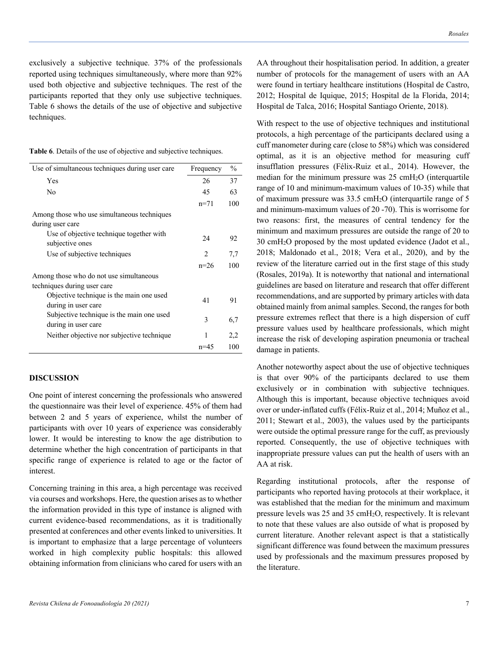exclusively a subjective technique. 37% of the professionals reported using techniques simultaneously, where more than 92% used both objective and subjective techniques. The rest of the participants reported that they only use subjective techniques. Table 6 shows the details of the use of objective and subjective techniques.

|  |  |  | Table 6. Details of the use of objective and subjective techniques. |
|--|--|--|---------------------------------------------------------------------|
|  |  |  |                                                                     |

| Use of simultaneous techniques during user care                        | Frequency | $\frac{0}{0}$ |
|------------------------------------------------------------------------|-----------|---------------|
| Yes                                                                    | 26        | 37            |
| No                                                                     | 45        | 63            |
|                                                                        | $n=71$    | 100           |
| Among those who use simultaneous techniques<br>during user care        |           |               |
| Use of objective technique together with<br>subjective ones            | 24        | 92            |
| Use of subjective techniques                                           | 2         | 7,7           |
|                                                                        | $n=26$    | 100           |
| Among those who do not use simultaneous<br>techniques during user care |           |               |
| Objective technique is the main one used<br>during in user care        | 41        | 91            |
| Subjective technique is the main one used<br>during in user care       | 3         | 6,7           |
| Neither objective nor subjective technique                             | 1         | 2,2           |
|                                                                        | $n=45$    | 100           |

# **DISCUSSION**

One point of interest concerning the professionals who answered the questionnaire was their level of experience. 45% of them had between 2 and 5 years of experience, whilst the number of participants with over 10 years of experience was considerably lower. It would be interesting to know the age distribution to determine whether the high concentration of participants in that specific range of experience is related to age or the factor of interest.

Concerning training in this area, a high percentage was received via courses and workshops. Here, the question arises as to whether the information provided in this type of instance is aligned with current evidence-based recommendations, as it is traditionally presented at conferences and other events linked to universities. It is important to emphasize that a large percentage of volunteers worked in high complexity public hospitals: this allowed obtaining information from clinicians who cared for users with an

AA throughout their hospitalisation period. In addition, a greater number of protocols for the management of users with an AA were found in tertiary healthcare institutions (Hospital de Castro, 2012; Hospital de Iquique, 2015; Hospital de la Florida, 2014; Hospital de Talca, 2016; Hospital Santiago Oriente, 2018).

With respect to the use of objective techniques and institutional protocols, a high percentage of the participants declared using a cuff manometer during care (close to 58%) which was considered optimal, as it is an objective method for measuring cuff insufflation pressures (Félix-Ruiz et al., 2014). However, the median for the minimum pressure was 25 cmH2O (interquartile range of 10 and minimum-maximum values of 10-35) while that of maximum pressure was 33.5 cmH2O (interquartile range of 5 and minimum-maximum values of 20 -70). This is worrisome for two reasons: first, the measures of central tendency for the minimum and maximum pressures are outside the range of 20 to 30 cmH2O proposed by the most updated evidence (Jadot et al., 2018; Maldonado et al., 2018; Vera et al., 2020), and by the review of the literature carried out in the first stage of this study (Rosales, 2019a). It is noteworthy that national and international guidelines are based on literature and research that offer different recommendations, and are supported by primary articles with data obtained mainly from animal samples. Second, the ranges for both pressure extremes reflect that there is a high dispersion of cuff pressure values used by healthcare professionals, which might increase the risk of developing aspiration pneumonia or tracheal damage in patients.

Another noteworthy aspect about the use of objective techniques is that over 90% of the participants declared to use them exclusively or in combination with subjective techniques. Although this is important, because objective techniques avoid over or under-inflated cuffs (Félix-Ruiz et al., 2014; Muñoz et al., 2011; Stewart et al., 2003), the values used by the participants were outside the optimal pressure range for the cuff, as previously reported. Consequently, the use of objective techniques with inappropriate pressure values can put the health of users with an AA at risk.

Regarding institutional protocols, after the response of participants who reported having protocols at their workplace, it was established that the median for the minimum and maximum pressure levels was 25 and 35 cmH2O, respectively. It is relevant to note that these values are also outside of what is proposed by current literature. Another relevant aspect is that a statistically significant difference was found between the maximum pressures used by professionals and the maximum pressures proposed by the literature.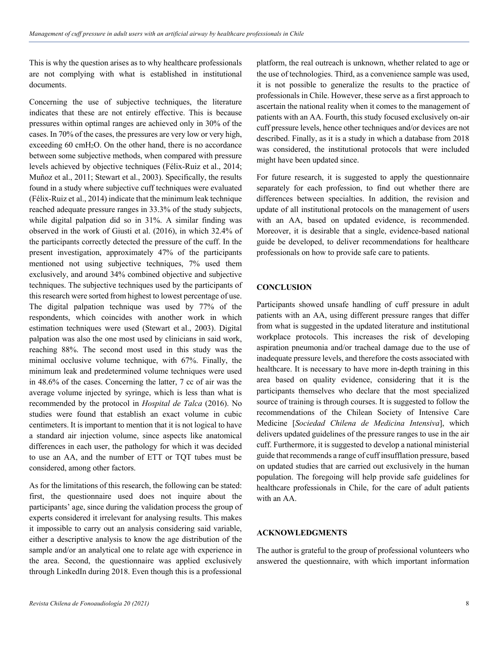This is why the question arises as to why healthcare professionals are not complying with what is established in institutional documents.

Concerning the use of subjective techniques, the literature indicates that these are not entirely effective. This is because pressures within optimal ranges are achieved only in 30% of the cases. In 70% of the cases, the pressures are very low or very high, exceeding 60 cmH2O. On the other hand, there is no accordance between some subjective methods, when compared with pressure levels achieved by objective techniques (Félix-Ruiz et al., 2014; Muñoz et al., 2011; Stewart et al., 2003). Specifically, the results found in a study where subjective cuff techniques were evaluated (Félix-Ruiz et al., 2014) indicate that the minimum leak technique reached adequate pressure ranges in 33.3% of the study subjects, while digital palpation did so in 31%. A similar finding was observed in the work of Giusti et al. (2016), in which 32.4% of the participants correctly detected the pressure of the cuff. In the present investigation, approximately 47% of the participants mentioned not using subjective techniques, 7% used them exclusively, and around 34% combined objective and subjective techniques. The subjective techniques used by the participants of this research were sorted from highest to lowest percentage of use. The digital palpation technique was used by 77% of the respondents, which coincides with another work in which estimation techniques were used (Stewart et al., 2003). Digital palpation was also the one most used by clinicians in said work, reaching 88%. The second most used in this study was the minimal occlusive volume technique, with 67%. Finally, the minimum leak and predetermined volume techniques were used in 48.6% of the cases. Concerning the latter, 7 cc of air was the average volume injected by syringe, which is less than what is recommended by the protocol in *Hospital de Talca* (2016). No studies were found that establish an exact volume in cubic centimeters. It is important to mention that it is not logical to have a standard air injection volume, since aspects like anatomical differences in each user, the pathology for which it was decided to use an AA, and the number of ETT or TQT tubes must be considered, among other factors.

As for the limitations of this research, the following can be stated: first, the questionnaire used does not inquire about the participants' age, since during the validation process the group of experts considered it irrelevant for analysing results. This makes it impossible to carry out an analysis considering said variable, either a descriptive analysis to know the age distribution of the sample and/or an analytical one to relate age with experience in the area. Second, the questionnaire was applied exclusively through LinkedIn during 2018. Even though this is a professional

platform, the real outreach is unknown, whether related to age or the use of technologies. Third, as a convenience sample was used, it is not possible to generalize the results to the practice of professionals in Chile. However, these serve as a first approach to ascertain the national reality when it comes to the management of patients with an AA. Fourth, this study focused exclusively on-air cuff pressure levels, hence other techniques and/or devices are not described. Finally, as it is a study in which a database from 2018 was considered, the institutional protocols that were included might have been updated since.

For future research, it is suggested to apply the questionnaire separately for each profession, to find out whether there are differences between specialties. In addition, the revision and update of all institutional protocols on the management of users with an AA, based on updated evidence, is recommended. Moreover, it is desirable that a single, evidence-based national guide be developed, to deliver recommendations for healthcare professionals on how to provide safe care to patients.

### **CONCLUSION**

Participants showed unsafe handling of cuff pressure in adult patients with an AA, using different pressure ranges that differ from what is suggested in the updated literature and institutional workplace protocols. This increases the risk of developing aspiration pneumonia and/or tracheal damage due to the use of inadequate pressure levels, and therefore the costs associated with healthcare. It is necessary to have more in-depth training in this area based on quality evidence, considering that it is the participants themselves who declare that the most specialized source of training is through courses. It is suggested to follow the recommendations of the Chilean Society of Intensive Care Medicine [*Sociedad Chilena de Medicina Intensiva*], which delivers updated guidelines of the pressure ranges to use in the air cuff. Furthermore, it is suggested to develop a national ministerial guide that recommends a range of cuff insufflation pressure, based on updated studies that are carried out exclusively in the human population. The foregoing will help provide safe guidelines for healthcare professionals in Chile, for the care of adult patients with an AA.

# **ACKNOWLEDGMENTS**

The author is grateful to the group of professional volunteers who answered the questionnaire, with which important information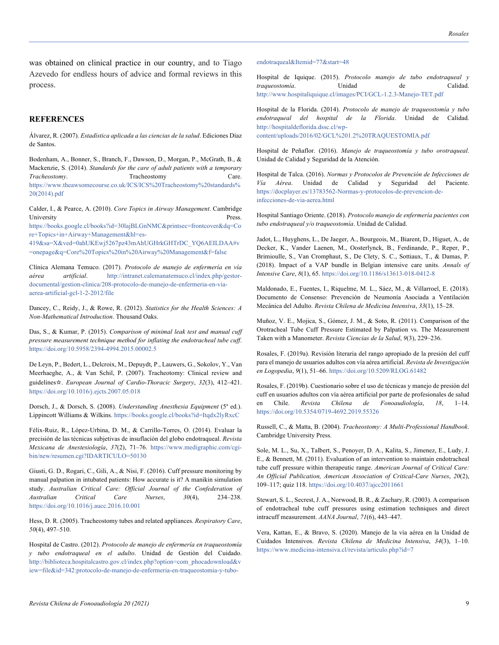was obtained on clinical practice in our country, and to Tiago Azevedo for endless hours of advice and formal reviews in this process.

#### **REFERENCES**

Álvarez, R. (2007). *Estadística aplicada a las ciencias de la salud*. Ediciones Díaz de Santos.

Bodenham, A., Bonner, S., Branch, F., Dawson, D., Morgan, P., McGrath, B., & Mackenzie, S. (2014). *Standards for the care of adult patients with a temporary Tracheostomy*. Tracheostomy Care. https://www.theawsomecourse.co.uk/ICS/ICS%20Tracheostomy%20standards% 20(2014).pdf

Calder, I., & Pearce, A. (2010). *Core Topics in Airway Management*. Cambridge University Press.

https://books.google.cl/books?id=30lajBLGnNMC&printsec=frontcover&dq=Co re+Topics+in+Airway+Management&hl=es-

419&sa=X&ved=0ahUKEwj5267pz43mAhUGHrkGHTrDC\_YQ6AEILDAA#v =onepage&q=Core%20Topics%20in%20Airway%20Management&f=false

Clínica Alemana Temuco. (2017). *Protocolo de manejo de enfermería en vía aérea artificial*. http://intranet.calemanatemuco.cl/index.php/gestordocumental/gestion-clinica/208-protocolo-de-manejo-de-enfermeria-en-viaaerea-artificial-gcl-1-2-2012/file

Dancey, C., Reidy, J., & Rowe, R. (2012). *Statistics for the Health Sciences: A Non-Mathematical Introduction*. Thousand Oaks.

Das, S., & Kumar, P. (2015). *Comparison of minimal leak test and manual cuff pressure measurement technique method for inflating the endotracheal tube cuff*. https://doi.org/10.5958/2394-4994.2015.00002.5

De Leyn, P., Bedert, L., Delcroix, M., Depuydt, P., Lauwers, G., Sokolov, Y., Van Meerhaeghe, A., & Van Schil, P. (2007). Tracheotomy: Clinical review and guidelines☆. *European Journal of Cardio-Thoracic Surgery*, *32*(3), 412–421. https://doi.org/10.1016/j.ejcts.2007.05.018

Dorsch, J., & Dorsch, S. (2008). *Understanding Anesthesia Equipment* (5<sup>a</sup> ed.). Lippincott Williams & Wilkins. https://books.google.cl/books?id=Itqdx2lyRxcC

Félix-Ruiz, R., López-Urbina, D. M., & Carrillo-Torres, O. (2014). Evaluar la precisión de las técnicas subjetivas de insuflación del globo endotraqueal. *Revista Mexicana de Anestesiología*, *37*(2), 71–76. https://www.medigraphic.com/cgibin/new/resumen.cgi?IDARTICULO=50130

Giusti, G. D., Rogari, C., Gili, A., & Nisi, F. (2016). Cuff pressure monitoring by manual palpation in intubated patients: How accurate is it? A manikin simulation study. *Australian Critical Care: Official Journal of the Confederation of Australian Critical Care Nurses*, *30*(4), 234–238. https://doi.org/10.1016/j.aucc.2016.10.001

Hess, D. R. (2005). Tracheostomy tubes and related appliances. *Respiratory Care*, *50*(4), 497–510.

Hospital de Castro. (2012). *Protocolo de manejo de enfermería en traqueostomía y tubo endotraqueal en el adulto*. Unidad de Gestión del Cuidado. http://biblioteca.hospitalcastro.gov.cl/index.php?option=com\_phocadownload&v iew=file&id=342:protocolo-de-manejo-de-enfermeria-en-traqueostomia-y-tuboendotraqueal&Itemid=77&start=48

Hospital de Iquique. (2015). *Protocolo manejo de tubo endotraqueal y traqueostomía*. Unidad de Calidad. http://www.hospitaliquique.cl/images/PCI/GCL-1.2.3-Manejo-TET.pdf

Hospital de la Florida. (2014). *Protocolo de manejo de traqueostomía y tubo endotraqueal del hospital de la Florida*. Unidad de Calidad. http://hospitaldeflorida.dssc.cl/wpcontent/uploads/2016/02/GCL%201.2%20TRAQUESTOMIA.pdf

Hospital de Peñaflor. (2016). *Manejo de traqueostomía y tubo orotraqueal*. Unidad de Calidad y Seguridad de la Atención.

Hospital de Talca. (2016). *Normas y Protocolos de Prevención de Infecciones de Vía Aérea*. Unidad de Calidad y Seguridad del Paciente. https://docplayer.es/13783562-Normas-y-protocolos-de-prevencion-deinfecciones-de-via-aerea.html

Hospital Santiago Oriente. (2018). *Protocolo manejo de enfermería pacientes con tubo endotraqueal y/o traqueostomía*. Unidad de Calidad.

Jadot, L., Huyghens, L., De Jaeger, A., Bourgeois, M., Biarent, D., Higuet, A., de Decker, K., Vander Laenen, M., Oosterlynck, B., Ferdinande, P., Reper, P., Brimioulle, S., Van Cromphaut, S., De Clety, S. C., Sottiaux, T., & Damas, P. (2018). Impact of a VAP bundle in Belgian intensive care units. *Annals of Intensive Care*, *8*(1), 65. https://doi.org/10.1186/s13613-018-0412-8

Maldonado, E., Fuentes, I., Riquelme, M. L., Sáez, M., & Villarroel, E. (2018). Documento de Consenso: Prevención de Neumonía Asociada a Ventilación Mecánica del Adulto. *Revista Chilena de Medicina Intensiva*, *33*(1), 15–28.

Muñoz, V. E., Mojica, S., Gómez, J. M., & Soto, R. (2011). Comparison of the Orotracheal Tube Cuff Pressure Estimated by Palpation vs. The Measurement Taken with a Manometer. *Revista Ciencias de la Salud*, *9*(3), 229–236.

Rosales, F. (2019a). Revisión literaria del rango apropiado de la presión del cuff para el manejo de usuarios adultos con vía aérea artificial. *Revista de Investigación en Logopedia*, *9*(1), 51–66. https://doi.org/10.5209/RLOG.61482

Rosales, F. (2019b). Cuestionario sobre el uso de técnicas y manejo de presión del cuff en usuarios adultos con vía aérea artificial por parte de profesionales de salud en Chile. *Revista Chilena de Fonoaudiología*, *18*, 1–14. https://doi.org/10.5354/0719-4692.2019.55326

Russell, C., & Matta, B. (2004). *Tracheostomy: A Multi-Professional Handbook*. Cambridge University Press.

Sole, M. L., Su, X., Talbert, S., Penoyer, D. A., Kalita, S., Jimenez, E., Ludy, J. E., & Bennett, M. (2011). Evaluation of an intervention to maintain endotracheal tube cuff pressure within therapeutic range. *American Journal of Critical Care: An Official Publication, American Association of Critical-Care Nurses*, *20*(2), 109–117; quiz 118. https://doi.org/10.4037/ajcc2011661

Stewart, S. L., Secrest, J. A., Norwood, B. R., & Zachary, R. (2003). A comparison of endotracheal tube cuff pressures using estimation techniques and direct intracuff measurement. *AANA Journal*, *71*(6), 443–447.

Vera, Kattan, E., & Bravo, S. (2020). Manejo de la vía aérea en la Unidad de Cuidados Intensivos. *Revista Chilena de Medicina Intensiva*, *34*(3), 1–10. https://www.medicina-intensiva.cl/revista/articulo.php?id=7